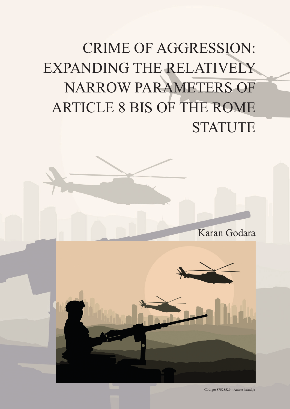# CRIME OF AGGRESSION: EXPANDING THE RELATIVELY NARROW PARAMETERS OF ARTICLE 8 BIS OF THE ROME **STATUTE**



Código: 87528529 • Autor: kstudija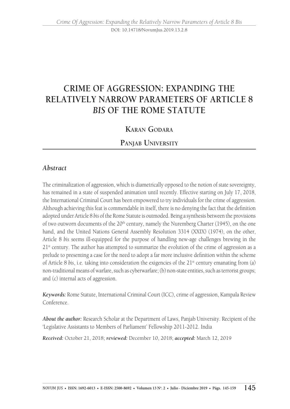DOI: 10.14718/NovumJus.2019.13.2.8

# **CRIME OF AGGRESSION: EXPANDING THE RELATIVELY NARROW PARAMETERS OF ARTICLE 8**  *BIS* **OF THE ROME STATUTE**

## **Karan Godara**

## **Panjab University**

#### *Abstract*

The criminalization of aggression, which is diametrically opposed to the notion of state sovereignty, has remained in a state of suspended animation until recently. Effective starting on July 17, 2018, the International Criminal Court has been empowered to try individuals for the crime of aggression. Although achieving this feat is commendable in itself, there is no denying the fact that the definition adopted under Article 8 *bis* of the Rome Statute is outmoded. Being a synthesis between the provisions of two outworn documents of the  $20<sup>th</sup>$  century, namely the Nuremberg Charter (1945), on the one hand, and the United Nations General Assembly Resolution 3314 (XXIX) (1974), on the other, Article 8 *bis* seems ill-equipped for the purpose of handling new-age challenges brewing in the  $21<sup>st</sup>$  century. The author has attempted to summarize the evolution of the crime of aggression as a prelude to presenting a case for the need to adopt a far more inclusive definition within the scheme of Article 8 *bis*, i.e. taking into consideration the exigencies of the 21<sup>st</sup> century emanating from (a) non-traditional means of warfare, such as cyberwarfare; (b) non-state entities, such as terrorist groups; and (c) internal acts of aggression.

*Keywords:* Rome Statute, International Criminal Court (ICC), crime of aggression, Kampala Review Conference.

*About the author:* Research Scholar at the Department of Laws, Panjab University. Recipient of the 'Legislative Assistants to Members of Parliament' Fellowship 2011-2012. India

*Received:* October 21, 2018; *reviewed:* December 10, 2018; *accepted:* March 12, 2019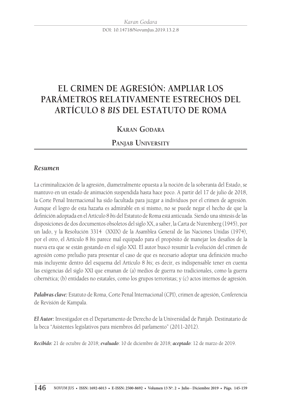DOI: 10.14718/NovumJus.2019.13.2.8

# **EL CRIMEN DE AGRESIÓN: AMPLIAR LOS PARÁMETROS RELATIVAMENTE ESTRECHOS DEL ARTÍCULO 8** *BIS* **DEL ESTATUTO DE ROMA**

## **Karan Godara**

## **Panjab University**

#### *Resumen*

La criminalización de la agresión, diametralmente opuesta a la noción de la soberanía del Estado, se mantuvo en un estado de animación suspendida hasta hace poco. A partir del 17 de julio de 2018, la Corte Penal Internacional ha sido facultada para juzgar a individuos por el crimen de agresión. Aunque el logro de esta hazaña es admirable en sí mismo, no se puede negar el hecho de que la definición adoptada en el Artículo 8 *bis* del Estatuto de Roma está anticuada. Siendo una síntesis de las disposiciones de dos documentos obsoletos del siglo XX, a saber, la Carta de Nuremberg (1945), por un lado, y la Resolución 3314 (XXIX) de la Asamblea General de las Naciones Unidas (1974), por el otro, el Artículo 8 *bis* parece mal equipado para el propósito de manejar los desafíos de la nueva era que se están gestando en el siglo XXI. El autor buscó resumir la evolución del crimen de agresión como preludio para presentar el caso de que es necesario adoptar una definición mucho más incluyente dentro del esquema del Artículo 8 *bis*; es decir, es indispensable tener en cuenta las exigencias del siglo XXI que emanan de (a) medios de guerra no tradicionales, como la guerra cibernética; (b) entidades no estatales, como los grupos terroristas; y (c) actos internos de agresión.

*Palabras clave:* Estatuto de Roma, Corte Penal Internacional (CPI), crimen de agresión, Conferencia de Revisión de Kampala.

*El Autor:* Investigador en el Departamento de Derecho de la Universidad de Panjab. Destinatario de la beca "Asistentes legislativos para miembros del parlamento" (2011-2012).

*Recibido:* 21 de octubre de 2018; *evaluado*: 10 de diciembre de 2018; *aceptado*: 12 de marzo de 2019.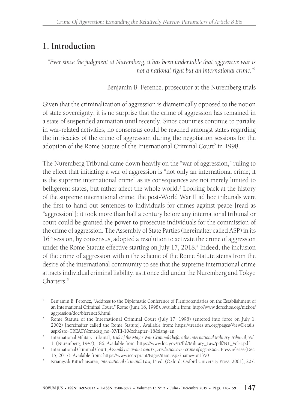# **1. Introduction**

*"Ever since the judgment at Nuremberg, it has been undeniable that aggressive war is not a national right but an international crime."1*

Benjamin B. Ferencz, prosecutor at the Nuremberg trials

Given that the criminalization of aggression is diametrically opposed to the notion of state sovereignty, it is no surprise that the crime of aggression has remained in a state of suspended animation until recently. Since countries continue to partake in war-related activities, no consensus could be reached amongst states regarding the intricacies of the crime of aggression during the negotiation sessions for the adoption of the Rome Statute of the International Criminal Court<sup>2</sup> in 1998.

The Nuremberg Tribunal came down heavily on the "war of aggression," ruling to the effect that initiating a war of aggression is "not only an international crime; it is the supreme international crime" as its consequences are not merely limited to belligerent states, but rather affect the whole world.<sup>3</sup> Looking back at the history of the supreme international crime, the post-World War II ad hoc tribunals were the first to hand out sentences to individuals for crimes against peace [read as "aggression"]; it took more than half a century before any international tribunal or court could be granted the power to prosecute individuals for the commission of the crime of aggression. The Assembly of State Parties (hereinafter called ASP) in its  $16<sup>th</sup>$  session, by consensus, adopted a resolution to activate the crime of aggression under the Rome Statute effective starting on July 17, 2018.<sup>4</sup> Indeed, the inclusion of the crime of aggression within the scheme of the Rome Statute stems from the desire of the international community to see that the supreme international crime attracts individual criminal liability, as it once did under the Nuremberg and Tokyo Charters<sup>5</sup>

<sup>&</sup>lt;sup>1</sup> Benjamin B. Ferencz, "Address to the Diplomatic Conference of Plenipotentiaries on the Establishment of an International Criminal Court." Rome (June 16, 1998). Available from: http://www.derechos.org/nizkor/ aggression/doc/bferencz6.html 2 Rome Statute of the International Criminal Court (July 17, 1998) (entered into force on July 1,

<sup>2002) [</sup>hereinafter called the Rome Statute]. Available from: https://treaties.un.org/pages/ViewDetails. aspx?src=TREATY&mtdsg\_no=XVIII-10&chapter=18&lang=en

<sup>3</sup> International Military Tribunal, *Trial of the Major War Criminals before the International Military Tribunal*, Vol.

<sup>1. (</sup>Nuremberg, 1947), 186. Available from: https://www.loc.gov/rr/frd/Military\_Law/pdf/NT\_Vol-I.pdf 4 International Criminal Court, *Assembly activates court's jurisdiction over crime of aggression*. Press release (Dec. 15, 2017). Available from: https://www.icc-cpi.int/Pages/item.aspx?name=pr1350

<sup>5</sup> Kriangsak Kittichaisaree, *International Criminal Law,* 1st ed. (Oxford: Oxford University Press, 2001), 207.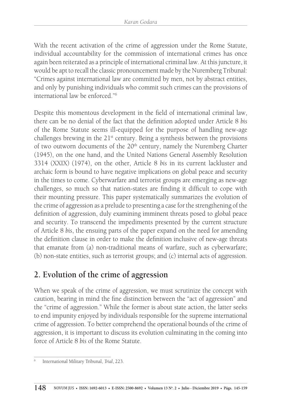With the recent activation of the crime of aggression under the Rome Statute, individual accountability for the commission of international crimes has once again been reiterated as a principle of international criminal law. At this juncture, it would be apt to recall the classic pronouncement made by the Nuremberg Tribunal: "Crimes against international law are committed by men, not by abstract entities, and only by punishing individuals who commit such crimes can the provisions of international law be enforced."6

Despite this momentous development in the field of international criminal law, there can be no denial of the fact that the definition adopted under Article 8 *bis* of the Rome Statute seems ill-equipped for the purpose of handling new-age challenges brewing in the  $21<sup>st</sup>$  century. Being a synthesis between the provisions of two outworn documents of the 20<sup>th</sup> century, namely the Nuremberg Charter (1945), on the one hand, and the United Nations General Assembly Resolution 3314 (XXIX) (1974), on the other, Article 8 *bis* in its current lackluster and archaic form is bound to have negative implications on global peace and security in the times to come. Cyberwarfare and terrorist groups are emerging as new-age challenges, so much so that nation-states are finding it difficult to cope with their mounting pressure. This paper systematically summarizes the evolution of the crime of aggression as a prelude to presenting a case for the strengthening of the definition of aggression, duly examining imminent threats posed to global peace and security. To transcend the impediments presented by the current structure of Article 8 *bis*, the ensuing parts of the paper expand on the need for amending the definition clause in order to make the definition inclusive of new-age threats that emanate from (a) non-traditional means of warfare, such as cyberwarfare; (b) non-state entities, such as terrorist groups; and (c) internal acts of aggression.

# **2. Evolution of the crime of aggression**

When we speak of the crime of aggression, we must scrutinize the concept with caution, bearing in mind the fine distinction between the "act of aggression" and the "crime of aggression." While the former is about state action, the latter seeks to end impunity enjoyed by individuals responsible for the supreme international crime of aggression. To better comprehend the operational bounds of the crime of aggression, it is important to discuss its evolution culminating in the coming into force of Article 8 *bis* of the Rome Statute.

<sup>6</sup> International Military Tribunal, *Trial*, 223.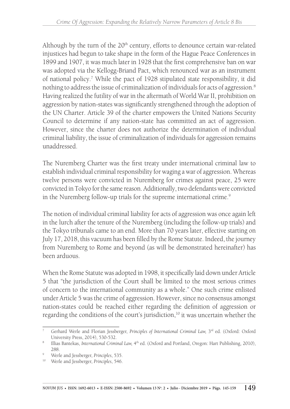Although by the turn of the  $20<sup>th</sup>$  century, efforts to denounce certain war-related injustices had begun to take shape in the form of the Hague Peace Conferences in 1899 and 1907, it was much later in 1928 that the first comprehensive ban on war was adopted via the Kellogg-Briand Pact, which renounced war as an instrument of national policy.7 While the pact of 1928 stipulated state responsibility, it did nothing to address the issue of criminalization of individuals for acts of aggression.8 Having realized the futility of war in the aftermath of World War II, prohibition on aggression by nation-states was significantly strengthened through the adoption of the UN Charter. Article 39 of the charter empowers the United Nations Security Council to determine if any nation-state has committed an act of aggression. However, since the charter does not authorize the determination of individual criminal liability, the issue of criminalization of individuals for aggression remains unaddressed.

The Nuremberg Charter was the first treaty under international criminal law to establish individual criminal responsibility for waging a war of aggression. Whereas twelve persons were convicted in Nuremberg for crimes against peace, 25 were convicted in Tokyo for the same reason. Additionally, two defendants were convicted in the Nuremberg follow-up trials for the supreme international crime.<sup>9</sup>

The notion of individual criminal liability for acts of aggression was once again left in the lurch after the tenure of the Nuremberg (including the follow-up trials) and the Tokyo tribunals came to an end. More than 70 years later, effective starting on July 17, 2018, this vacuum has been filled by the Rome Statute. Indeed, the journey from Nuremberg to Rome and beyond (as will be demonstrated hereinafter) has been arduous.

When the Rome Statute was adopted in 1998, it specifically laid down under Article 5 that "the jurisdiction of the Court shall be limited to the most serious crimes of concern to the international community as a whole." One such crime enlisted under Article 5 was the crime of aggression. However, since no consensus amongst nation-states could be reached either regarding the definition of aggression or regarding the conditions of the court's jurisdiction,<sup>10</sup> it was uncertain whether the

Gerhard Werle and Florian Jessberger, *Principles of International Criminal Law*, 3<sup>rd</sup> ed. (Oxford: Oxford University Press, 2014), 530-532. 8 Illias Bantekas, *International Criminal Law,* 4th ed. (Oxford and Portland, Oregon: Hart Publishing, 2010),

<sup>288. 9</sup> Werle and Jessberger, *Principles*, 535.

<sup>10</sup> Werle and Jessberger, *Principles*, 546.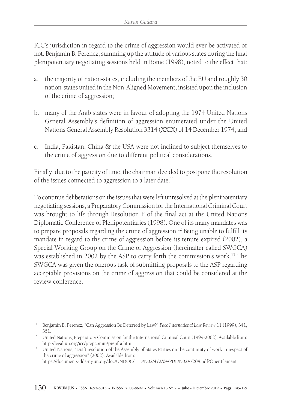ICC's jurisdiction in regard to the crime of aggression would ever be activated or not. Benjamin B. Ferencz, summing up the attitude of various states during the final plenipotentiary negotiating sessions held in Rome (1998), noted to the effect that:

- a. the majority of nation-states, including the members of the EU and roughly 30 nation-states united in the Non-Aligned Movement, insisted upon the inclusion of the crime of aggression;
- b. many of the Arab states were in favour of adopting the 1974 United Nations General Assembly's definition of aggression enumerated under the United Nations General Assembly Resolution 3314 (XXIX) of 14 December 1974; and
- c. India, Pakistan, China & the USA were not inclined to subject themselves to the crime of aggression due to different political considerations.

Finally, due to the paucity of time, the chairman decided to postpone the resolution of the issues connected to aggression to a later date.<sup>11</sup>

To continue deliberations on the issues that were left unresolved at the plenipotentiary negotiating sessions, a Preparatory Commission for the International Criminal Court was brought to life through Resolution F of the final act at the United Nations Diplomatic Conference of Plenipotentiaries (1998). One of its many mandates was to prepare proposals regarding the crime of aggression.<sup>12</sup> Being unable to fulfill its mandate in regard to the crime of aggression before its tenure expired (2002), a Special Working Group on the Crime of Aggression (hereinafter called SWGCA) was established in 2002 by the ASP to carry forth the commission's work.<sup>13</sup> The SWGCA was given the onerous task of submitting proposals to the ASP regarding acceptable provisions on the crime of aggression that could be considered at the review conference.

<sup>11</sup> Benjamin B. Ferencz, "Can Aggression Be Deterred by Law?" *Pace International Law Review* 11 (1999), 341, 351.

<sup>&</sup>lt;sup>12</sup> United Nations, Preparatory Commission for the International Criminal Court (1999-2002). Available from: http://legal.un.org/icc/prepcomm/prepfra.htm

<sup>&</sup>lt;sup>13</sup> United Nations, "Draft resolution of the Assembly of States Parties on the continuity of work in respect of the crime of aggression" (2002). Available from:

https://documents-dds-ny.un.org/doc/UNDOC/LTD/N02/472/04/PDF/N0247204.pdf?OpenElement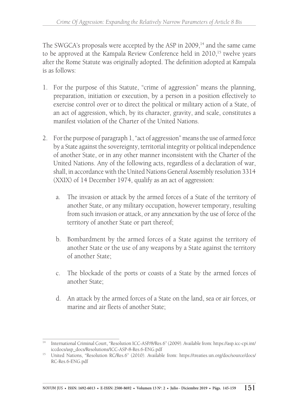The SWGCA's proposals were accepted by the ASP in  $2009$ ,<sup>14</sup> and the same came to be approved at the Kampala Review Conference held in 2010,<sup>15</sup> twelve years after the Rome Statute was originally adopted. The definition adopted at Kampala is as follows:

- 1. For the purpose of this Statute, "crime of aggression" means the planning, preparation, initiation or execution, by a person in a position effectively to exercise control over or to direct the political or military action of a State, of an act of aggression, which, by its character, gravity, and scale, constitutes a manifest violation of the Charter of the United Nations.
- 2. For the purpose of paragraph 1, "act of aggression" means the use of armed force by a State against the sovereignty, territorial integrity or political independence of another State, or in any other manner inconsistent with the Charter of the United Nations. Any of the following acts, regardless of a declaration of war, shall, in accordance with the United Nations General Assembly resolution 3314 (XXIX) of 14 December 1974, qualify as an act of aggression:
	- a. The invasion or attack by the armed forces of a State of the territory of another State, or any military occupation, however temporary, resulting from such invasion or attack, or any annexation by the use of force of the territory of another State or part thereof;
	- b. Bombardment by the armed forces of a State against the territory of another State or the use of any weapons by a State against the territory of another State;
	- c. The blockade of the ports or coasts of a State by the armed forces of another State;
	- d. An attack by the armed forces of a State on the land, sea or air forces, or marine and air fleets of another State;

<sup>14</sup> International Criminal Court, "Resolution ICC-ASP/8/Res.6" (2009). Available from: https://asp.icc-cpi.int/ iccdocs/asp\_docs/Resolutions/ICC-ASP-8-Res.6-ENG.pdf

<sup>15</sup> United Nations, "Resolution RC/Res.6" (2010). Available from: https://treaties.un.org/doc/source/docs/ RC-Res.6-ENG.pdf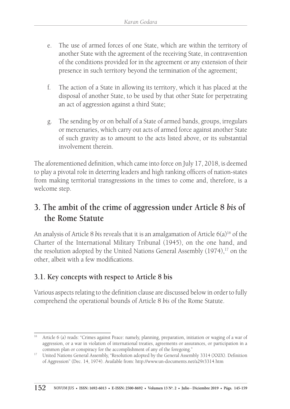- e. The use of armed forces of one State, which are within the territory of another State with the agreement of the receiving State, in contravention of the conditions provided for in the agreement or any extension of their presence in such territory beyond the termination of the agreement;
- f. The action of a State in allowing its territory, which it has placed at the disposal of another State, to be used by that other State for perpetrating an act of aggression against a third State;
- g. The sending by or on behalf of a State of armed bands, groups, irregulars or mercenaries, which carry out acts of armed force against another State of such gravity as to amount to the acts listed above, or its substantial involvement therein.

The aforementioned definition, which came into force on July 17, 2018, is deemed to play a pivotal role in deterring leaders and high ranking officers of nation-states from making territorial transgressions in the times to come and, therefore, is a welcome step.

# **3. The ambit of the crime of aggression under Article 8** *bis* **of the Rome Statute**

An analysis of Article 8 *bis* reveals that it is an amalgamation of Article 6(a)<sup>16</sup> of the Charter of the International Military Tribunal (1945), on the one hand, and the resolution adopted by the United Nations General Assembly  $(1974)$ ,<sup>17</sup> on the other, albeit with a few modifications.

## **3.1. Key concepts with respect to Article 8 bis**

Various aspects relating to the definition clause are discussed below in order to fully comprehend the operational bounds of Article 8 *bis* of the Rome Statute.

<sup>16</sup> Article 6 (a) reads: "Crimes against Peace: namely, planning, preparation, initiation or waging of a war of aggression, or a war in violation of international treaties, agreements or assurances, or participation in a common plan or conspiracy for the accomplishment of any of the foregoing."

<sup>&</sup>lt;sup>17</sup> United Nations General Assembly, "Resolution adopted by the General Assembly 3314 (XXIX). Definition of Aggression" (Dec. 14, 1974). Available from: http://www.un-documents.net/a29r3314.htm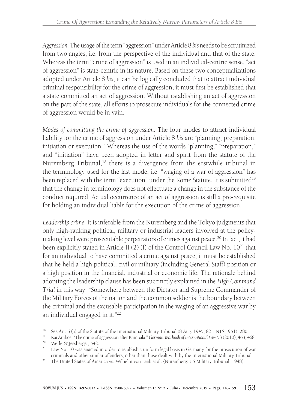*Aggression.* The usage of the term "aggression" under Article 8 *bis* needs to be scrutinized from two angles, i.e. from the perspective of the individual and that of the state. Whereas the term "crime of aggression" is used in an individual-centric sense, "act of aggression" is state-centric in its nature. Based on these two conceptualizations adopted under Article 8 *bis*, it can be logically concluded that to attract individual criminal responsibility for the crime of aggression, it must first be established that a state committed an act of aggression. Without establishing an act of aggression on the part of the state, all efforts to prosecute individuals for the connected crime of aggression would be in vain.

*Modes of committing the crime of aggression.* The four modes to attract individual liability for the crime of aggression under Article 8 *bis* are "planning, preparation, initiation or execution." Whereas the use of the words "planning," "preparation," and "initiation" have been adopted in letter and spirit from the statute of the Nuremberg Tribunal,<sup>18</sup> there is a divergence from the erstwhile tribunal in the terminology used for the last mode, i.e. "waging of a war of aggression" has been replaced with the term "execution" under the Rome Statute. It is submitted<sup>19</sup> that the change in terminology does not effectuate a change in the substance of the conduct required. Actual occurrence of an act of aggression is still a pre-requisite for holding an individual liable for the execution of the crime of aggression.

*Leadership crime.* It is inferable from the Nuremberg and the Tokyo judgments that only high-ranking political, military or industrial leaders involved at the policymaking level were prosecutable perpetrators of crimes against peace.<sup>20</sup> In fact, it had been explicitly stated in Article II (2) (f) of the Control Council Law No.  $10^{21}$  that for an individual to have committed a crime against peace, it must be established that he held a high political, civil or military (including General Staff) position or a high position in the financial, industrial or economic life. The rationale behind adopting the leadership clause has been succinctly explained in the *High Command Trial* in this way: "Somewhere between the Dictator and Supreme Commander of the Military Forces of the nation and the common soldier is the boundary between the criminal and the excusable participation in the waging of an aggressive war by an individual engaged in it."22

<sup>&</sup>lt;sup>18</sup> See Art. 6 (a) of the Statute of the International Military Tribunal (8 Aug. 1945, 82 UNTS 1951), 280.

<sup>19</sup> Kai Ambos, "The crime of aggression after Kampala." *German Yearbook of International Law* 53 (2010), 463, 468. <sup>20</sup> Werle & Jessberger, 542.

<sup>&</sup>lt;sup>21</sup> Law No. 10 was enacted in order to establish a uniform legal basis in Germany for the prosecution of war criminals and other similar offenders, other than those dealt with by the International Military Tribunal.

<sup>&</sup>lt;sup>22</sup> The United States of America vs. Wilhelm von Leeb et al. (Nuremberg: US Military Tribunal, 1948).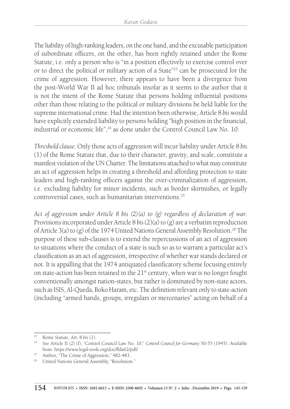The liability of high-ranking leaders, on the one hand, and the excusable participation of subordinate officers, on the other, has been rightly retained under the Rome Statute, i.e. only a person who is "in a position effectively to exercise control over or to direct the political or military action of a State"23 can be prosecuted for the crime of aggression. However, there appears to have been a divergence from the post-World War II ad hoc tribunals insofar as it seems to the author that it is not the intent of the Rome Statute that persons holding influential positions other than those relating to the political or military divisions be held liable for the supreme international crime. Had the intention been otherwise, Article 8 *bis* would have explicitly extended liability to persons holding "high position in the financial, industrial or economic life",<sup>24</sup> as done under the Control Council Law No. 10.

*Threshold clause.* Only those acts of aggression will incur liability under Article 8 *bis*  (1) of the Rome Statute that, due to their character, gravity, and scale, constitute a manifest violation of the UN Charter. The limitations attached to what may constitute an act of aggression helps in creating a threshold and affording protection to state leaders and high-ranking officers against the over-criminalization of aggression, i.e. excluding liability for minor incidents, such as border skirmishes, or legally controversial cases, such as humanitarian interventions.25

*Act of aggression under Article 8 bis (2)(a) to (g) regardless of declaration of war.* Provisions incorporated under Article 8 *bis* (2)(a) to (g) are a verbatim reproduction of Article 3(a) to (g) of the 1974 United Nations General Assembly Resolution.<sup>26</sup> The purpose of these sub-clauses is to extend the repercussions of an act of aggression to situations where the conduct of a state is such so as to warrant a particular act's classification as an act of aggression, irrespective of whether war stands declared or not. It is appalling that the 1974 antiquated classificatory scheme focusing entirely on state-action has been retained in the  $21<sup>st</sup>$  century, when war is no longer fought conventionally amongst nation-states, but rather is dominated by non-state actors, such as ISIS, Al-Queda, Boko Haram, etc. The definition relevant only to state-action (including "armed bands, groups, irregulars or mercenaries" acting on behalf of a

<sup>23</sup> Rome Statute, Art. 8 *bis* (1).

<sup>24</sup> See Article II (2) (f), "Control Council Law No. 10." *Control Council for Germany* 50-55 (1945). Available from: https://www.legal-tools.org/doc/ffda62/pdf/

<sup>25</sup> Ambos, "The Crime of Aggression," 482-483.

<sup>&</sup>lt;sup>26</sup> United Nations General Assembly, "Resolution."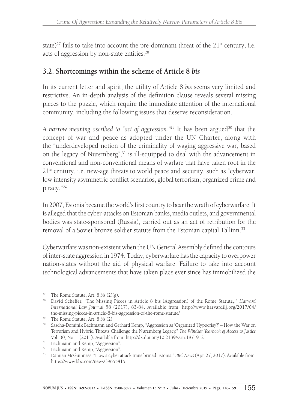state)<sup>27</sup> fails to take into account the pre-dominant threat of the  $21<sup>st</sup>$  century, i.e. acts of aggression by non-state entities.<sup>28</sup>

## **3.2. Shortcomings within the scheme of Article 8** *bis*

In its current letter and spirit, the utility of Article 8 *bis* seems very limited and restrictive. An in-depth analysis of the definition clause reveals several missing pieces to the puzzle, which require the immediate attention of the international community, including the following issues that deserve reconsideration.

A narrow meaning ascribed to "act of aggression."<sup>29</sup> It has been argued<sup>30</sup> that the concept of war and peace as adopted under the UN Charter, along with the "underdeveloped notion of the criminality of waging aggressive war, based on the legacy of Nuremberg",<sup>31</sup> is ill-equipped to deal with the advancement in conventional and non-conventional means of warfare that have taken root in the  $21<sup>st</sup>$  century, i.e. new-age threats to world peace and security, such as "cyberwar, low intensity asymmetric conflict scenarios, global terrorism, organized crime and piracy."32

In 2007, Estonia became the world's first country to bear the wrath of cyberwarfare. It is alleged that the cyber-attacks on Estonian banks, media outlets, and governmental bodies was state-sponsored (Russia), carried out as an act of retribution for the removal of a Soviet bronze soldier statute from the Estonian capital Tallinn.<sup>33</sup>

Cyberwarfare was non-existent when the UN General Assembly defined the contours of inter-state aggression in 1974. Today, cyberwarfare has the capacity to overpower nation-states without the aid of physical warfare. Failure to take into account technological advancements that have taken place ever since has immobilized the

<sup>27</sup> The Rome Statute, Art. 8 *bis* (2)(g). 28 David Scheffer, "The Missing Pieces in Article 8 bis (Aggression) of the Rome Statute,." *Harvard International Law Journal* 58 (2017), 83-84. Available from: http://www.harvardilj.org/2017/04/ the-missing-pieces-in-article-8-bis-aggression-of-the-rome-statute/

<sup>29</sup> The Rome Statute, Art. 8 *bis* (2).

<sup>30</sup> Sascha-Dominik Bachmann and Gerhard Kemp, "Aggression as 'Organized Hypocrisy?' – How the War on Terrorism and Hybrid Threats Challenge the Nuremberg Legacy." *The Windsor Yearbook of Access to Justice* Vol. 30, No. 1 (2011). Available from: http://dx.doi.org/10.2139/ssrn.1871912

<sup>&</sup>lt;sup>31</sup> Bachmann and Kemp, "Aggression".

<sup>&</sup>lt;sup>32</sup> Bachmann and Kemp, "Aggression".

<sup>33</sup> Damien McGuinness, "How a cyber attack transformed Estonia*.*" *BBC News* (Apr. 27, 2017). Available from: https://www.bbc.com/news/39655415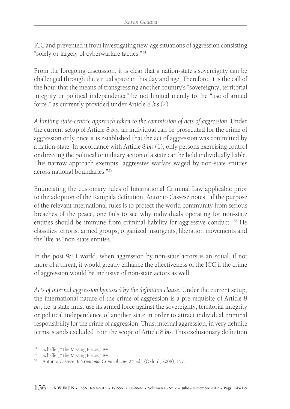ICC and prevented it from investigating new-age situations of aggression consisting "solely or largely of cyberwarfare tactics."34

From the foregoing discussion, it is clear that a nation-state's sovereignty can be challenged through the virtual space in this day and age. Therefore, it is the call of the hour that the means of transgressing another country's "sovereignty, territorial integrity or political independence" be not limited merely to the "use of armed force," as currently provided under Article 8 *bis* (2).

*A limiting state-centric approach taken to the commission of acts of aggression.* Under the current setup of Article 8 *bis*, an individual can be prosecuted for the crime of aggression only once it is established that the act of aggression was committed by a nation-state. In accordance with Article 8 *bis* (1), only persons exercising control or directing the political or military action of a state can be held individually liable. This narrow approach exempts "aggressive warfare waged by non-state entities across national boundaries<sup>"35</sup>

Enunciating the customary rules of International Criminal Law applicable prior to the adoption of the Kampala definition, Antonio Cassese notes: "if the purpose of the relevant international rules is to protect the world community from serious breaches of the peace, one fails to see why individuals operating for non-state entities should be immune from criminal liability for aggressive conduct."36 He classifies terrorist armed groups, organized insurgents, liberation movements and the like as "non-state entities."

In the post 9/11 world, when aggression by non-state actors is an equal, if not more of a threat, it would greatly enhance the effectiveness of the ICC if the crime of aggression would be inclusive of non-state actors as well.

*Acts of internal aggression bypassed by the definition clause.* Under the current setup, the international nature of the crime of aggression is a pre-requisite of Article 8 *bis*, i.e. a state must use its armed force against the sovereignty, territorial integrity or political independence of another state in order to attract individual criminal responsibility for the crime of aggression. Thus, internal aggression, in very definite terms, stands excluded from the scope of Article 8 *bis.* This exclusionary definition

<sup>34</sup> Scheffer, "The Missing Pieces," 84.

<sup>35</sup> Scheffer, "The Missing Pieces," 84.

<sup>&</sup>lt;sup>36</sup> Antonio Cassese, *International Criminal Law*, 2<sup>nd</sup> ed. (Oxford, 2008), 157.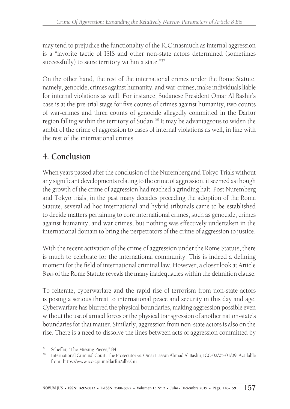may tend to prejudice the functionality of the ICC inasmuch as internal aggression is a "favorite tactic of ISIS and other non-state actors determined (sometimes successfully) to seize territory within a state."37

On the other hand, the rest of the international crimes under the Rome Statute, namely, genocide, crimes against humanity, and war-crimes, make individuals liable for internal violations as well. For instance, Sudanese President Omar Al Bashir's case is at the pre-trial stage for five counts of crimes against humanity, two counts of war-crimes and three counts of genocide allegedly committed in the Darfur region falling within the territory of Sudan.38 It may be advantageous to widen the ambit of the crime of aggression to cases of internal violations as well, in line with the rest of the international crimes.

# **4. Conclusion**

When years passed after the conclusion of the Nuremberg and Tokyo Trials without any significant developments relating to the crime of aggression, it seemed as though the growth of the crime of aggression had reached a grinding halt. Post Nuremberg and Tokyo trials, in the past many decades preceding the adoption of the Rome Statute, several ad hoc international and hybrid tribunals came to be established to decide matters pertaining to core international crimes, such as genocide, crimes against humanity, and war crimes, but nothing was effectively undertaken in the international domain to bring the perpetrators of the crime of aggression to justice.

With the recent activation of the crime of aggression under the Rome Statute, there is much to celebrate for the international community. This is indeed a defining moment for the field of international criminal law. However, a closer look at Article 8 *bis* of the Rome Statute reveals the many inadequacies within the definition clause.

To reiterate, cyberwarfare and the rapid rise of terrorism from non-state actors is posing a serious threat to international peace and security in this day and age. Cyberwarfare has blurred the physical boundaries, making aggression possible even without the use of armed forces or the physical transgression of another nation-state's boundaries for that matter. Similarly, aggression from non-state actors is also on the rise. There is a need to dissolve the lines between acts of aggression committed by

<sup>37</sup> Scheffer, "The Missing Pieces," 84.

<sup>38</sup> International Criminal Court. The Prosecutor vs. Omar Hassan Ahmad Al Bashir, ICC-02/05-01/09. Available from: https://www.icc-cpi.int/darfur/albashir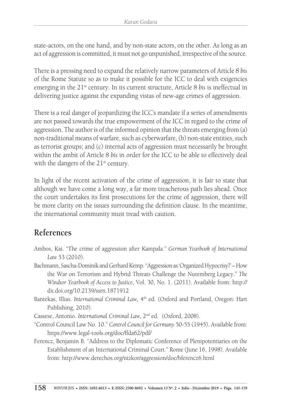state-actors, on the one hand, and by non-state actors, on the other. As long as an act of aggression is committed, it must not go unpunished, irrespective of the source.

There is a pressing need to expand the relatively narrow parameters of Article 8 *bis* of the Rome Statute so as to make it possible for the ICC to deal with exigencies emerging in the 21st century. In its current structure, Article 8 *bis* is ineffectual in delivering justice against the expanding vistas of new-age crimes of aggression.

There is a real danger of jeopardizing the ICC's mandate if a series of amendments are not passed towards the true empowerment of the ICC in regard to the crime of aggression. The author is of the informed opinion that the threats emerging from (a) non-traditional means of warfare, such as cyberwarfare, (b) non-state entities, such as terrorist groups; and (c) internal acts of aggression must necessarily be brought within the ambit of Article 8 *bis* in order for the ICC to be able to effectively deal with the dangers of the  $21^{st}$  century.

In light of the recent activation of the crime of aggression, it is fair to state that although we have come a long way, a far more treacherous path lies ahead. Once the court undertakes its first prosecutions for the crime of aggression, there will be more clarity on the issues surrounding the definition clause. In the meantime, the international community must tread with caution.

# **References**

- Ambos, Kai. "The crime of aggression after Kampala." *German Yearbook of International Law* 53 (2010).
- Bachmann, Sascha-Dominik and Gerhard Kemp. "Aggression as 'Organized Hypocrisy?' How the War on Terrorism and Hybrid Threats Challenge the Nuremberg Legacy." *The Windsor Yearbook of Access to Justice*, Vol. 30, No. 1. (2011). Available from: http:// dx.doi.org/10.2139/ssrn.1871912
- Bantekas, Illias. *International Criminal Law*, 4<sup>th</sup> ed. (Oxford and Portland, Oregon: Hart Publishing, 2010).

Cassese, Antonio. *International Criminal Law,* 2nd ed. (Oxford, 2008).

- "Control Council Law No. 10." *Control Council for Germany* 50-55 (1945). Available from: https://www.legal-tools.org/doc/ffda62/pdf/
- Ferencz, Benjamin B. "Address to the Diplomatic Conference of Plenipotentiaries on the Establishment of an International Criminal Court." Rome (June 16, 1998). Available from: http://www.derechos.org/nizkor/aggression/doc/bferencz6.html